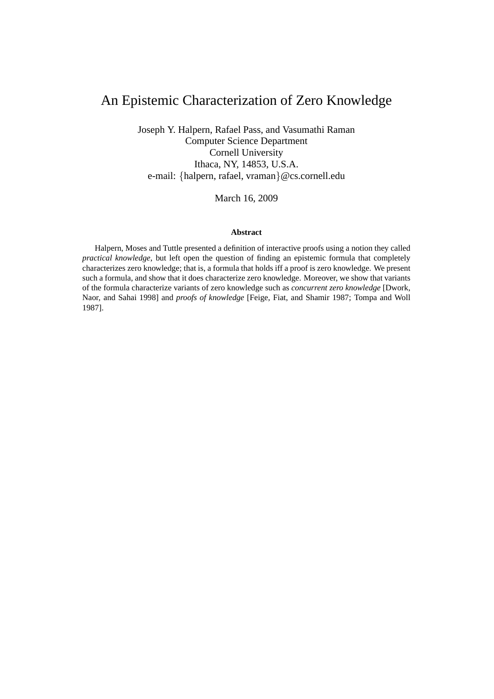# An Epistemic Characterization of Zero Knowledge

Joseph Y. Halpern, Rafael Pass, and Vasumathi Raman Computer Science Department Cornell University Ithaca, NY, 14853, U.S.A. e-mail: {halpern, rafael, vraman}@cs.cornell.edu

March 16, 2009

#### **Abstract**

Halpern, Moses and Tuttle presented a definition of interactive proofs using a notion they called *practical knowledge*, but left open the question of finding an epistemic formula that completely characterizes zero knowledge; that is, a formula that holds iff a proof is zero knowledge. We present such a formula, and show that it does characterize zero knowledge. Moreover, we show that variants of the formula characterize variants of zero knowledge such as *concurrent zero knowledge* [Dwork, Naor, and Sahai 1998] and *proofs of knowledge* [Feige, Fiat, and Shamir 1987; Tompa and Woll 1987].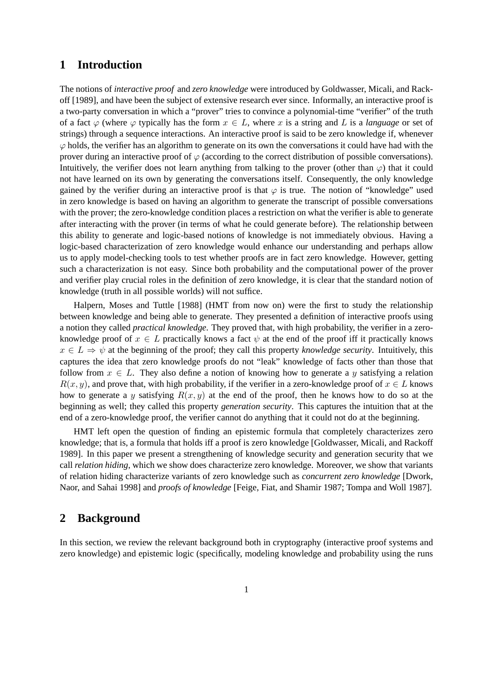## **1 Introduction**

The notions of *interactive proof* and *zero knowledge* were introduced by Goldwasser, Micali, and Rackoff [1989], and have been the subject of extensive research ever since. Informally, an interactive proof is a two-party conversation in which a "prover" tries to convince a polynomial-time "verifier" of the truth of a fact  $\varphi$  (where  $\varphi$  typically has the form  $x \in L$ , where x is a string and L is a *language* or set of strings) through a sequence interactions. An interactive proof is said to be zero knowledge if, whenever  $\varphi$  holds, the verifier has an algorithm to generate on its own the conversations it could have had with the prover during an interactive proof of  $\varphi$  (according to the correct distribution of possible conversations). Intuitively, the verifier does not learn anything from talking to the prover (other than  $\varphi$ ) that it could not have learned on its own by generating the conversations itself. Consequently, the only knowledge gained by the verifier during an interactive proof is that  $\varphi$  is true. The notion of "knowledge" used in zero knowledge is based on having an algorithm to generate the transcript of possible conversations with the prover; the zero-knowledge condition places a restriction on what the verifier is able to generate after interacting with the prover (in terms of what he could generate before). The relationship between this ability to generate and logic-based notions of knowledge is not immediately obvious. Having a logic-based characterization of zero knowledge would enhance our understanding and perhaps allow us to apply model-checking tools to test whether proofs are in fact zero knowledge. However, getting such a characterization is not easy. Since both probability and the computational power of the prover and verifier play crucial roles in the definition of zero knowledge, it is clear that the standard notion of knowledge (truth in all possible worlds) will not suffice.

Halpern, Moses and Tuttle [1988] (HMT from now on) were the first to study the relationship between knowledge and being able to generate. They presented a definition of interactive proofs using a notion they called *practical knowledge*. They proved that, with high probability, the verifier in a zeroknowledge proof of  $x \in L$  practically knows a fact  $\psi$  at the end of the proof iff it practically knows  $x \in L \Rightarrow \psi$  at the beginning of the proof; they call this property *knowledge security*. Intuitively, this captures the idea that zero knowledge proofs do not "leak" knowledge of facts other than those that follow from  $x \in L$ . They also define a notion of knowing how to generate a y satisfying a relation  $R(x, y)$ , and prove that, with high probability, if the verifier in a zero-knowledge proof of  $x \in L$  knows how to generate a y satisfying  $R(x, y)$  at the end of the proof, then he knows how to do so at the beginning as well; they called this property *generation security*. This captures the intuition that at the end of a zero-knowledge proof, the verifier cannot do anything that it could not do at the beginning.

HMT left open the question of finding an epistemic formula that completely characterizes zero knowledge; that is, a formula that holds iff a proof is zero knowledge [Goldwasser, Micali, and Rackoff 1989]. In this paper we present a strengthening of knowledge security and generation security that we call *relation hiding*, which we show does characterize zero knowledge. Moreover, we show that variants of relation hiding characterize variants of zero knowledge such as *concurrent zero knowledge* [Dwork, Naor, and Sahai 1998] and *proofs of knowledge* [Feige, Fiat, and Shamir 1987; Tompa and Woll 1987].

# **2 Background**

In this section, we review the relevant background both in cryptography (interactive proof systems and zero knowledge) and epistemic logic (specifically, modeling knowledge and probability using the runs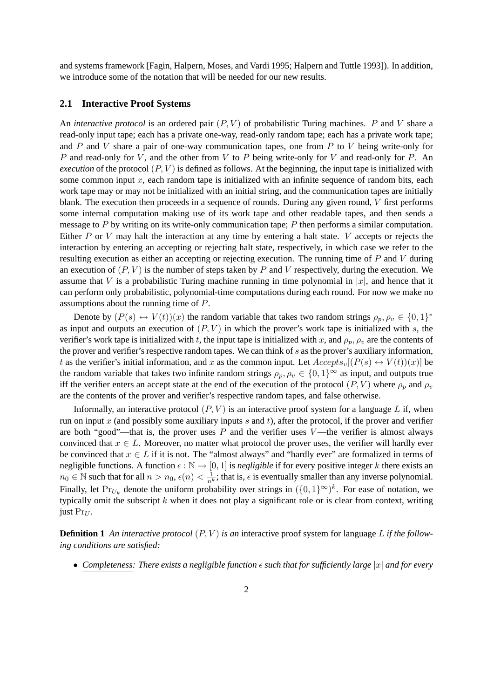and systems framework [Fagin, Halpern, Moses, and Vardi 1995; Halpern and Tuttle 1993]). In addition, we introduce some of the notation that will be needed for our new results.

## **2.1 Interactive Proof Systems**

An *interactive protocol* is an ordered pair  $(P, V)$  of probabilistic Turing machines. P and V share a read-only input tape; each has a private one-way, read-only random tape; each has a private work tape; and  $P$  and  $V$  share a pair of one-way communication tapes, one from  $P$  to  $V$  being write-only for  $P$  and read-only for  $V$ , and the other from  $V$  to  $P$  being write-only for  $V$  and read-only for  $P$ . An *execution* of the protocol  $(P, V)$  is defined as follows. At the beginning, the input tape is initialized with some common input  $x$ , each random tape is initialized with an infinite sequence of random bits, each work tape may or may not be initialized with an initial string, and the communication tapes are initially blank. The execution then proceeds in a sequence of rounds. During any given round, V first performs some internal computation making use of its work tape and other readable tapes, and then sends a message to  $P$  by writing on its write-only communication tape;  $P$  then performs a similar computation. Either  $P$  or  $V$  may halt the interaction at any time by entering a halt state.  $V$  accepts or rejects the interaction by entering an accepting or rejecting halt state, respectively, in which case we refer to the resulting execution as either an accepting or rejecting execution. The running time of  $P$  and  $V$  during an execution of  $(P, V)$  is the number of steps taken by P and V respectively, during the execution. We assume that V is a probabilistic Turing machine running in time polynomial in  $|x|$ , and hence that it can perform only probabilistic, polynomial-time computations during each round. For now we make no assumptions about the running time of P.

Denote by  $(P(s) \leftrightarrow V(t))(x)$  the random variable that takes two random strings  $\rho_p, \rho_v \in \{0,1\}^*$ as input and outputs an execution of  $(P, V)$  in which the prover's work tape is initialized with s, the verifier's work tape is initialized with t, the input tape is initialized with x, and  $\rho_p$ ,  $\rho_v$  are the contents of the prover and verifier's respective random tapes. We can think of  $s$  as the prover's auxiliary information, t as the verifier's initial information, and x as the common input. Let  $Accepts_v[(P(s) \leftrightarrow V(t))(x)]$  be the random variable that takes two infinite random strings  $\rho_p, \rho_v \in \{0, 1\}^\infty$  as input, and outputs true iff the verifier enters an accept state at the end of the execution of the protocol  $(P, V)$  where  $\rho_p$  and  $\rho_v$ are the contents of the prover and verifier's respective random tapes, and false otherwise.

Informally, an interactive protocol  $(P, V)$  is an interactive proof system for a language L if, when run on input  $x$  (and possibly some auxiliary inputs  $s$  and  $t$ ), after the protocol, if the prover and verifier are both "good"—that is, the prover uses  $P$  and the verifier uses  $V$ —the verifier is almost always convinced that  $x \in L$ . Moreover, no matter what protocol the prover uses, the verifier will hardly ever be convinced that  $x \in L$  if it is not. The "almost always" and "hardly ever" are formalized in terms of negligible functions. A function  $\epsilon : \mathbb{N} \to [0, 1]$  is *negligible* if for every positive integer k there exists an  $n_0 \in \mathbb{N}$  such that for all  $n > n_0$ ,  $\epsilon(n) < \frac{1}{n^k}$ ; that is,  $\epsilon$  is eventually smaller than any inverse polynomial. Finally, let  $\Pr_{U_k}$  denote the uniform probability over strings in  $({0,1})^{\infty})^k$ . For ease of notation, we typically omit the subscript  $k$  when it does not play a significant role or is clear from context, writing just  $Pr_U$ .

**Definition 1** An interactive protocol  $(P, V)$  is an interactive proof system for language L if the follow*ing conditions are satisfied:*

• *Completeness: There exists a negligible function*  $\epsilon$  such that for sufficiently large  $|x|$  and for every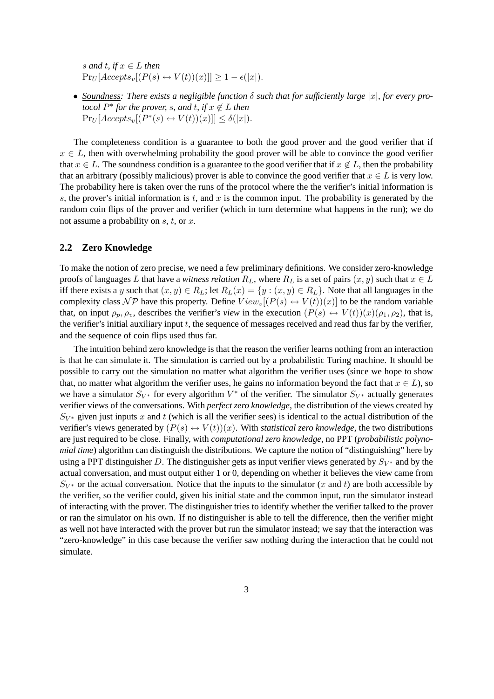*s* and *t*, if  $x \in L$  then  $Pr_U[Accepts_v[(P(s) \leftrightarrow V(t))(x)]] \geq 1 - \epsilon(|x|).$ 

• Soundness: There exists a negligible function δ such that for sufficiently large  $|x|$ *, for every protocol*  $P^*$  *for the prover, s, and t, if*  $x \notin L$  *then*  $Pr_U[Accepts_v[(P^*(s) \leftrightarrow V(t))(x)]] \leq \delta(|x|).$ 

The completeness condition is a guarantee to both the good prover and the good verifier that if  $x \in L$ , then with overwhelming probability the good prover will be able to convince the good verifier that  $x \in L$ . The soundness condition is a guarantee to the good verifier that if  $x \notin L$ , then the probability that an arbitrary (possibly malicious) prover is able to convince the good verifier that  $x \in L$  is very low. The probability here is taken over the runs of the protocol where the the verifier's initial information is s, the prover's initial information is t, and x is the common input. The probability is generated by the random coin flips of the prover and verifier (which in turn determine what happens in the run); we do not assume a probability on  $s, t$ , or  $x$ .

#### **2.2 Zero Knowledge**

To make the notion of zero precise, we need a few preliminary definitions. We consider zero-knowledge proofs of languages L that have a *witness relation*  $R_L$ , where  $R_L$  is a set of pairs  $(x, y)$  such that  $x \in L$ iff there exists a y such that  $(x, y) \in R_L$ ; let  $R_L(x) = \{y : (x, y) \in R_L\}$ . Note that all languages in the complexity class  $\mathcal{NP}$  have this property. Define  $View_v[(P(s) \leftrightarrow V(t))(x)]$  to be the random variable that, on input  $\rho_p$ ,  $\rho_v$ , describes the verifier's *view* in the execution  $(P(s) \leftrightarrow V(t))(x)(\rho_1, \rho_2)$ , that is, the verifier's initial auxiliary input  $t$ , the sequence of messages received and read thus far by the verifier, and the sequence of coin flips used thus far.

The intuition behind zero knowledge is that the reason the verifier learns nothing from an interaction is that he can simulate it. The simulation is carried out by a probabilistic Turing machine. It should be possible to carry out the simulation no matter what algorithm the verifier uses (since we hope to show that, no matter what algorithm the verifier uses, he gains no information beyond the fact that  $x \in L$ ), so we have a simulator  $S_{V^*}$  for every algorithm  $V^*$  of the verifier. The simulator  $S_{V^*}$  actually generates verifier views of the conversations. With *perfect zero knowledge*, the distribution of the views created by  $S_{V^*}$  given just inputs x and t (which is all the verifier sees) is identical to the actual distribution of the verifier's views generated by  $(P(s) \leftrightarrow V(t))(x)$ . With *statistical zero knowledge*, the two distributions are just required to be close. Finally, with *computational zero knowledge*, no PPT (*probabilistic polynomial time*) algorithm can distinguish the distributions. We capture the notion of "distinguishing" here by using a PPT distinguisher D. The distinguisher gets as input verifier views generated by  $S_{V^*}$  and by the actual conversation, and must output either 1 or 0, depending on whether it believes the view came from  $S_{V^*}$  or the actual conversation. Notice that the inputs to the simulator (x and t) are both accessible by the verifier, so the verifier could, given his initial state and the common input, run the simulator instead of interacting with the prover. The distinguisher tries to identify whether the verifier talked to the prover or ran the simulator on his own. If no distinguisher is able to tell the difference, then the verifier might as well not have interacted with the prover but run the simulator instead; we say that the interaction was "zero-knowledge" in this case because the verifier saw nothing during the interaction that he could not simulate.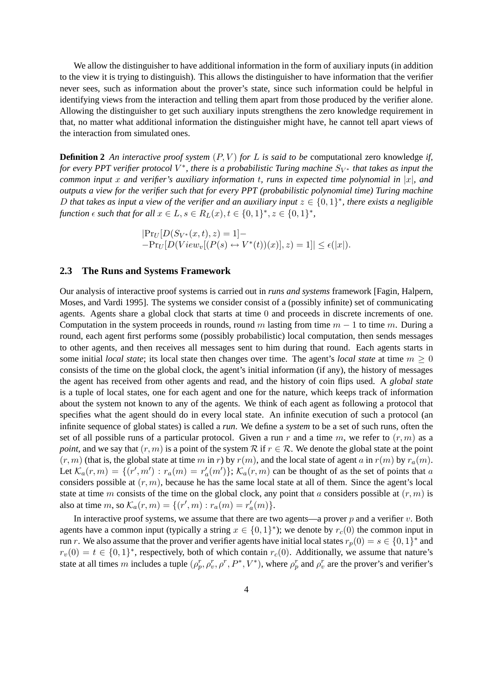We allow the distinguisher to have additional information in the form of auxiliary inputs (in addition to the view it is trying to distinguish). This allows the distinguisher to have information that the verifier never sees, such as information about the prover's state, since such information could be helpful in identifying views from the interaction and telling them apart from those produced by the verifier alone. Allowing the distinguisher to get such auxiliary inputs strengthens the zero knowledge requirement in that, no matter what additional information the distinguisher might have, he cannot tell apart views of the interaction from simulated ones.

**Definition 2** An interactive proof system  $(P, V)$  for L is said to be computational zero knowledge if, for every PPT verifier protocol  $V^*$ , there is a probabilistic Turing machine  $S_{V^*}$  that takes as input the *common input* x *and verifier's auxiliary information* t*, runs in expected time polynomial in* |x|*, and outputs a view for the verifier such that for every PPT (probabilistic polynomial time) Turing machine* D that takes as input a view of the verifier and an auxiliary input  $z \in \{0,1\}^*$ , there exists a negligible  $f$ *unction*  $\epsilon$  *such that for all*  $x \in L$ ,  $s \in R_L(x)$ ,  $t \in \{0,1\}^*,$   $z \in \{0,1\}^*$ ,

$$
|\Pr_U[D(S_{V^*}(x,t),z) = 1] -
$$
  
- $\Pr_U[D(View_v[(P(s) \leftrightarrow V^*(t))(x)],z) = 1]| \le \epsilon(|x|).$ 

## **2.3 The Runs and Systems Framework**

Our analysis of interactive proof systems is carried out in *runs and systems* framework [Fagin, Halpern, Moses, and Vardi 1995]. The systems we consider consist of a (possibly infinite) set of communicating agents. Agents share a global clock that starts at time 0 and proceeds in discrete increments of one. Computation in the system proceeds in rounds, round m lasting from time  $m - 1$  to time m. During a round, each agent first performs some (possibly probabilistic) local computation, then sends messages to other agents, and then receives all messages sent to him during that round. Each agents starts in some initial *local state*; its local state then changes over time. The agent's *local state* at time  $m \geq 0$ consists of the time on the global clock, the agent's initial information (if any), the history of messages the agent has received from other agents and read, and the history of coin flips used. A *global state* is a tuple of local states, one for each agent and one for the nature, which keeps track of information about the system not known to any of the agents. We think of each agent as following a protocol that specifies what the agent should do in every local state. An infinite execution of such a protocol (an infinite sequence of global states) is called a *run*. We define a *system* to be a set of such runs, often the set of all possible runs of a particular protocol. Given a run r and a time m, we refer to  $(r, m)$  as a *point*, and we say that  $(r, m)$  is a point of the system  $\mathcal R$  if  $r \in \mathcal R$ . We denote the global state at the point  $(r, m)$  (that is, the global state at time m in r) by  $r(m)$ , and the local state of agent a in  $r(m)$  by  $r_a(m)$ . Let  $\mathcal{K}_a(r,m) = \{(r',m') : r_a(m) = r'_a(m')\}; \mathcal{K}_a(r,m)$  can be thought of as the set of points that a considers possible at  $(r, m)$ , because he has the same local state at all of them. Since the agent's local state at time m consists of the time on the global clock, any point that a considers possible at  $(r, m)$  is also at time m, so  $\mathcal{K}_a(r, m) = \{ (r', m) : r_a(m) = r'_a(m) \}.$ 

In interactive proof systems, we assume that there are two agents—a prover  $p$  and a verifier  $v$ . Both agents have a common input (typically a string  $x \in \{0,1\}^*$ ); we denote by  $r_c(0)$  the common input in run r. We also assume that the prover and verifier agents have initial local states  $r_p(0) = s \in \{0,1\}^*$  and  $r_v(0) = t \in \{0, 1\}^*$ , respectively, both of which contain  $r_c(0)$ . Additionally, we assume that nature's state at all times m includes a tuple  $(\rho_p^r, \rho_v^r, \rho^r, P^*, V^*)$ , where  $\rho_p^r$  and  $\rho_v^r$  are the prover's and verifier's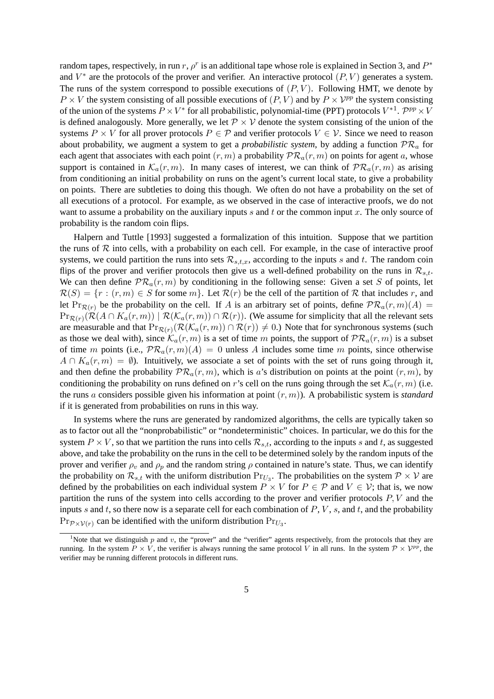random tapes, respectively, in run r,  $\rho^r$  is an additional tape whose role is explained in Section 3, and  $P^*$ and  $V^*$  are the protocols of the prover and verifier. An interactive protocol  $(P, V)$  generates a system. The runs of the system correspond to possible executions of  $(P, V)$ . Following HMT, we denote by  $P \times V$  the system consisting of all possible executions of  $(P, V)$  and by  $P \times V^{pp}$  the system consisting of the union of the systems  $P \times V^*$  for all probabilistic, polynomial-time (PPT) protocols  $V^{*1}$ .  $\mathcal{P}^{pp} \times V$ is defined analogously. More generally, we let  $\mathcal{P} \times \mathcal{V}$  denote the system consisting of the union of the systems  $P \times V$  for all prover protocols  $P \in \mathcal{P}$  and verifier protocols  $V \in \mathcal{V}$ . Since we need to reason about probability, we augment a system to get a *probabilistic system*, by adding a function  $PR<sub>a</sub>$  for each agent that associates with each point  $(r, m)$  a probability  $PR_a(r, m)$  on points for agent a, whose support is contained in  $\mathcal{K}_a(r, m)$ . In many cases of interest, we can think of  $\mathcal{PR}_a(r, m)$  as arising from conditioning an initial probability on runs on the agent's current local state, to give a probability on points. There are subtleties to doing this though. We often do not have a probability on the set of all executions of a protocol. For example, as we observed in the case of interactive proofs, we do not want to assume a probability on the auxiliary inputs  $s$  and  $t$  or the common input  $x$ . The only source of probability is the random coin flips.

Halpern and Tuttle [1993] suggested a formalization of this intuition. Suppose that we partition the runs of  $R$  into cells, with a probability on each cell. For example, in the case of interactive proof systems, we could partition the runs into sets  $\mathcal{R}_{s,t,x}$ , according to the inputs s and t. The random coin flips of the prover and verifier protocols then give us a well-defined probability on the runs in  $\mathcal{R}_{s,t}$ . We can then define  $PR_a(r, m)$  by conditioning in the following sense: Given a set S of points, let  $\mathcal{R}(S) = \{r : (r, m) \in S \text{ for some } m\}.$  Let  $\mathcal{R}(r)$  be the cell of the partition of R that includes r, and let  $Pr_{\mathcal{R}(r)}$  be the probability on the cell. If A is an arbitrary set of points, define  $PR_a(r, m)(A)$  $\Pr_{\mathcal{R}(r)}(\mathcal{R}(A \cap K_a(r,m)) \mid \mathcal{R}(\mathcal{K}_a(r,m)) \cap \mathcal{R}(r)).$  (We assume for simplicity that all the relevant sets are measurable and that  $Pr_{\mathcal{R}(r)}(\mathcal{R}(\mathcal{K}_a(r,m)) \cap \mathcal{R}(r)) \neq 0$ .) Note that for synchronous systems (such as those we deal with), since  $\mathcal{K}_a(r, m)$  is a set of time m points, the support of  $\mathcal{PR}_a(r, m)$  is a subset of time m points (i.e.,  $PR_a(r, m)(A) = 0$  unless A includes some time m points, since otherwise  $A \cap K_a(r,m) = \emptyset$ ). Intuitively, we associate a set of points with the set of runs going through it, and then define the probability  $PR_a(r, m)$ , which is a's distribution on points at the point  $(r, m)$ , by conditioning the probability on runs defined on r's cell on the runs going through the set  $\mathcal{K}_a(r, m)$  (i.e. the runs a considers possible given his information at point (r, m)). A probabilistic system is *standard* if it is generated from probabilities on runs in this way.

In systems where the runs are generated by randomized algorithms, the cells are typically taken so as to factor out all the "nonprobabilistic" or "nondeterministic" choices. In particular, we do this for the system  $P \times V$ , so that we partition the runs into cells  $\mathcal{R}_{s,t}$ , according to the inputs s and t, as suggested above, and take the probability on the runs in the cell to be determined solely by the random inputs of the prover and verifier  $\rho_v$  and  $\rho_p$  and the random string  $\rho$  contained in nature's state. Thus, we can identify the probability on  $\mathcal{R}_{s,t}$  with the uniform distribution  $Pr_{U_3}$ . The probabilities on the system  $\mathcal{P} \times \mathcal{V}$  are defined by the probabilities on each individual system  $P \times V$  for  $P \in \mathcal{P}$  and  $V \in \mathcal{V}$ ; that is, we now partition the runs of the system into cells according to the prover and verifier protocols  $P, V$  and the inputs s and t, so there now is a separate cell for each combination of  $P$ ,  $V$ ,  $s$ , and  $t$ , and the probability  $Pr_{\mathcal{P} \times \mathcal{V}(r)}$  can be identified with the uniform distribution  $Pr_{U_3}$ .

<sup>&</sup>lt;sup>1</sup>Note that we distinguish  $p$  and  $v$ , the "prover" and the "verifier" agents respectively, from the protocols that they are running. In the system  $P \times V$ , the verifier is always running the same protocol V in all runs. In the system  $P \times V^{pp}$ , the verifier may be running different protocols in different runs.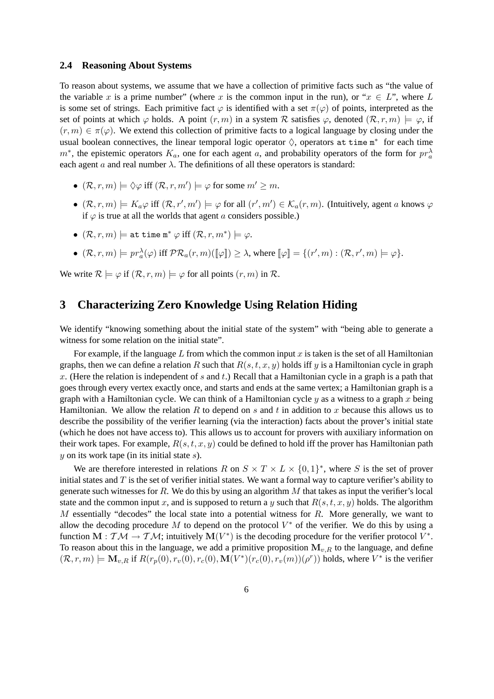#### **2.4 Reasoning About Systems**

To reason about systems, we assume that we have a collection of primitive facts such as "the value of the variable x is a prime number" (where x is the common input in the run), or " $x \in L$ ", where L is some set of strings. Each primitive fact  $\varphi$  is identified with a set  $\pi(\varphi)$  of points, interpreted as the set of points at which  $\varphi$  holds. A point  $(r, m)$  in a system R satisfies  $\varphi$ , denoted  $(\mathcal{R}, r, m) \models \varphi$ , if  $(r, m) \in \pi(\varphi)$ . We extend this collection of primitive facts to a logical language by closing under the usual boolean connectives, the linear temporal logic operator  $\diamond$ , operators at time  $m^*$  for each time  $m^*$ , the epistemic operators  $K_a$ , one for each agent a, and probability operators of the form for  $pr_a^{\lambda}$ each agent a and real number  $\lambda$ . The definitions of all these operators is standard:

- $(\mathcal{R}, r, m) \models \Diamond \varphi$  iff  $(\mathcal{R}, r, m') \models \varphi$  for some  $m' \geq m$ .
- $(\mathcal{R}, r, m) \models K_a \varphi$  iff  $(\mathcal{R}, r', m') \models \varphi$  for all  $(r', m') \in \mathcal{K}_a(r, m)$ . (Intuitively, agent a knows  $\varphi$ if  $\varphi$  is true at all the worlds that agent a considers possible.)
- $\bullet \; (\mathcal{R}, r, m) \models \texttt{at time m}^* \; \varphi \; \text{iff} \; (\mathcal{R}, r, m^*) \models \varphi.$
- $(\mathcal{R}, r, m) \models pr_d^{\lambda}(\varphi) \text{ iff } \mathcal{PR}_a(r, m)([\![\varphi]\!]) \geq \lambda \text{, where } [\![\varphi]\!] = \{(r', m) : (\mathcal{R}, r', m) \models \varphi\}.$

We write  $\mathcal{R} \models \varphi$  if  $(\mathcal{R}, r, m) \models \varphi$  for all points  $(r, m)$  in  $\mathcal{R}$ .

# **3 Characterizing Zero Knowledge Using Relation Hiding**

We identify "knowing something about the initial state of the system" with "being able to generate a witness for some relation on the initial state".

For example, if the language L from which the common input x is taken is the set of all Hamiltonian graphs, then we can define a relation R such that  $R(s, t, x, y)$  holds iff y is a Hamiltonian cycle in graph x. (Here the relation is independent of s and t.) Recall that a Hamiltonian cycle in a graph is a path that goes through every vertex exactly once, and starts and ends at the same vertex; a Hamiltonian graph is a graph with a Hamiltonian cycle. We can think of a Hamiltonian cycle  $y$  as a witness to a graph  $x$  being Hamiltonian. We allow the relation R to depend on s and t in addition to x because this allows us to describe the possibility of the verifier learning (via the interaction) facts about the prover's initial state (which he does not have access to). This allows us to account for provers with auxiliary information on their work tapes. For example,  $R(s, t, x, y)$  could be defined to hold iff the prover has Hamiltonian path  $y$  on its work tape (in its initial state  $s$ ).

We are therefore interested in relations R on  $S \times T \times L \times \{0,1\}^*$ , where S is the set of prover initial states and  $T$  is the set of verifier initial states. We want a formal way to capture verifier's ability to generate such witnesses for R. We do this by using an algorithm  $M$  that takes as input the verifier's local state and the common input x, and is supposed to return a y such that  $R(s, t, x, y)$  holds. The algorithm M essentially "decodes" the local state into a potential witness for  $R$ . More generally, we want to allow the decoding procedure M to depend on the protocol  $V^*$  of the verifier. We do this by using a function  $M : T \mathcal{M} \to T \mathcal{M}$ ; intuitively  $M(V^*)$  is the decoding procedure for the verifier protocol  $V^*$ . To reason about this in the language, we add a primitive proposition  $M_{v,R}$  to the language, and define  $(\mathcal{R}, r, m) \models \mathbf{M}_{v,R}$  if  $R(r_p(0), r_v(0), r_c(0), \mathbf{M}(V^*)(r_c(0), r_v(m))(\rho^r))$  holds, where  $V^*$  is the verifier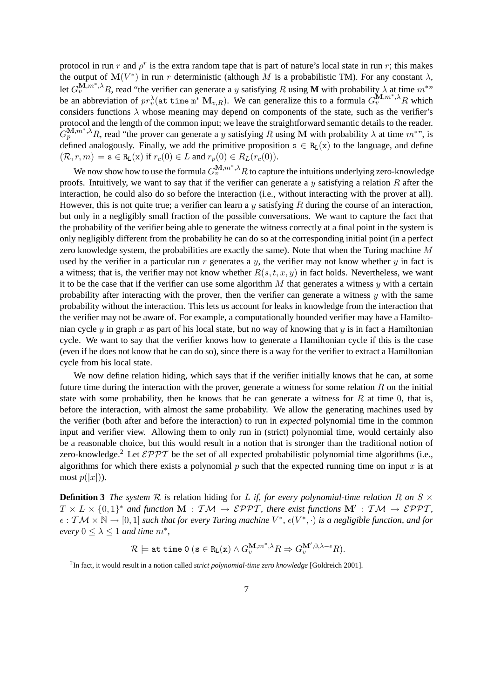protocol in run r and  $\rho^r$  is the extra random tape that is part of nature's local state in run r; this makes the output of  $\mathbf{M}(V^*)$  in run r deterministic (although M is a probabilistic TM). For any constant  $\lambda$ , let  $G_v^{\mathbf{M},m^*,\lambda}R$ , read "the verifier can generate a y satisfying R using **M** with probability  $\lambda$  at time  $m^*$ " be an abbreviation of  $pr_v^{\lambda}$  (at time  $m^* \mathbf{M}_{v,R}$ ). We can generalize this to a formula  $G_v^{\mathbf{M},m^*,\lambda}R$  which considers functions  $\lambda$  whose meaning may depend on components of the state, such as the verifier's protocol and the length of the common input; we leave the straightforward semantic details to the reader.  $G_p^{\mathbf{M},m^*,\lambda}R$ , read "the prover can generate a y satisfying R using M with probability  $\lambda$  at time  $m^{**}$ ", is defined analogously. Finally, we add the primitive proposition  $s \in R_L(x)$  to the language, and define  $(\mathcal{R}, r, m) \models \mathbf{s} \in \mathbf{R}_{\mathbf{L}}(\mathbf{x})$  if  $r_c(0) \in L$  and  $r_p(0) \in R_L(r_c(0))$ .

We now show how to use the formula  $G_v^{{\bf M},m^*,\lambda}R$  to capture the intuitions underlying zero-knowledge proofs. Intuitively, we want to say that if the verifier can generate a y satisfying a relation  $R$  after the interaction, he could also do so before the interaction (i.e., without interacting with the prover at all). However, this is not quite true; a verifier can learn a  $\gamma$  satisfying R during the course of an interaction, but only in a negligibly small fraction of the possible conversations. We want to capture the fact that the probability of the verifier being able to generate the witness correctly at a final point in the system is only negligibly different from the probability he can do so at the corresponding initial point (in a perfect zero knowledge system, the probabilities are exactly the same). Note that when the Turing machine  $M$ used by the verifier in a particular run r generates a y, the verifier may not know whether y in fact is a witness; that is, the verifier may not know whether  $R(s, t, x, y)$  in fact holds. Nevertheless, we want it to be the case that if the verifier can use some algorithm M that generates a witness  $\gamma$  with a certain probability after interacting with the prover, then the verifier can generate a witness  $y$  with the same probability without the interaction. This lets us account for leaks in knowledge from the interaction that the verifier may not be aware of. For example, a computationally bounded verifier may have a Hamiltonian cycle y in graph x as part of his local state, but no way of knowing that y is in fact a Hamiltonian cycle. We want to say that the verifier knows how to generate a Hamiltonian cycle if this is the case (even if he does not know that he can do so), since there is a way for the verifier to extract a Hamiltonian cycle from his local state.

We now define relation hiding, which says that if the verifier initially knows that he can, at some future time during the interaction with the prover, generate a witness for some relation  $R$  on the initial state with some probability, then he knows that he can generate a witness for  $R$  at time 0, that is, before the interaction, with almost the same probability. We allow the generating machines used by the verifier (both after and before the interaction) to run in *expected* polynomial time in the common input and verifier view. Allowing them to only run in (strict) polynomial time, would certainly also be a reasonable choice, but this would result in a notion that is stronger than the traditional notion of zero-knowledge.<sup>2</sup> Let  $\mathcal{EPPT}$  be the set of all expected probabilistic polynomial time algorithms (i.e., algorithms for which there exists a polynomial  $p$  such that the expected running time on input  $x$  is at most  $p(|x|)$ ).

**Definition 3** *The system*  $\mathcal{R}$  *is* relation hiding for L *if, for every polynomial-time relation*  $R$  *on*  $S \times$  $T \times L \times \{0,1\}^*$  and function  $\mathbf{M} : T\mathcal{M} \to \mathcal{EPPT}$ , there exist functions  $\mathbf{M}' : T\mathcal{M} \to \mathcal{EPPT}$ ,  $\epsilon: \mathcal{TM} \times \mathbb{N} \to [0,1]$  such that for every Turing machine  $V^*, \epsilon(V^*,\cdot)$  is a negligible function, and for  $every\ 0 \leq \lambda \leq 1$  *and time*  $m^*$ ,

$$
\mathcal{R} \models \mathtt{at\ time\ 0}~( \mathtt{s} \in \mathtt{R_L}(\mathtt{x}) \wedge G^{\mathbf{M},m^*,\lambda}_v R \Rightarrow G^{\mathbf{M}',0,\lambda-\epsilon}_v R).
$$

<sup>2</sup> In fact, it would result in a notion called *strict polynomial-time zero knowledge* [Goldreich 2001].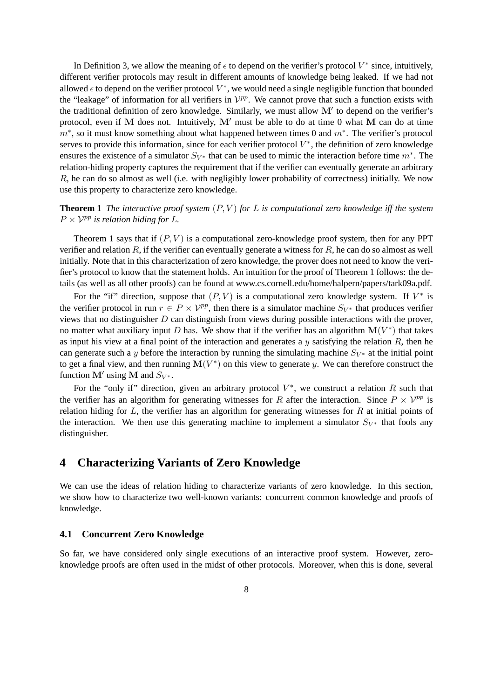In Definition 3, we allow the meaning of  $\epsilon$  to depend on the verifier's protocol  $V^*$  since, intuitively, different verifier protocols may result in different amounts of knowledge being leaked. If we had not allowed  $\epsilon$  to depend on the verifier protocol  $V^*$ , we would need a single negligible function that bounded the "leakage" of information for all verifiers in  $V^{pp}$ . We cannot prove that such a function exists with the traditional definition of zero knowledge. Similarly, we must allow  $M'$  to depend on the verifier's protocol, even if M does not. Intuitively,  $M'$  must be able to do at time 0 what M can do at time  $m<sup>*</sup>$ , so it must know something about what happened between times 0 and  $m<sup>*</sup>$ . The verifier's protocol serves to provide this information, since for each verifier protocol  $V^*$ , the definition of zero knowledge ensures the existence of a simulator  $S_{V^*}$  that can be used to mimic the interaction before time  $m^*$ . The relation-hiding property captures the requirement that if the verifier can eventually generate an arbitrary R, he can do so almost as well (i.e. with negligibly lower probability of correctness) initially. We now use this property to characterize zero knowledge.

**Theorem 1** *The interactive proof system* (P, V ) *for* L *is computational zero knowledge iff the system*  $P \times V^{pp}$  *is relation hiding for L.* 

Theorem 1 says that if  $(P, V)$  is a computational zero-knowledge proof system, then for any PPT verifier and relation  $R$ , if the verifier can eventually generate a witness for  $R$ , he can do so almost as well initially. Note that in this characterization of zero knowledge, the prover does not need to know the verifier's protocol to know that the statement holds. An intuition for the proof of Theorem 1 follows: the details (as well as all other proofs) can be found at www.cs.cornell.edu/home/halpern/papers/tark09a.pdf.

For the "if" direction, suppose that  $(P, V)$  is a computational zero knowledge system. If  $V^*$  is the verifier protocol in run  $r \in P \times V^{pp}$ , then there is a simulator machine  $S_{V^*}$  that produces verifier views that no distinguisher D can distinguish from views during possible interactions with the prover, no matter what auxiliary input D has. We show that if the verifier has an algorithm  $M(V^*)$  that takes as input his view at a final point of the interaction and generates a y satisfying the relation  $R$ , then he can generate such a y before the interaction by running the simulating machine  $S_{V^*}$  at the initial point to get a final view, and then running  $M(V^*)$  on this view to generate y. We can therefore construct the function  $M'$  using M and  $S_{V^*}$ .

For the "only if" direction, given an arbitrary protocol  $V^*$ , we construct a relation R such that the verifier has an algorithm for generating witnesses for R after the interaction. Since  $P \times V^{pp}$  is relation hiding for  $L$ , the verifier has an algorithm for generating witnesses for  $R$  at initial points of the interaction. We then use this generating machine to implement a simulator  $S_{V^*}$  that fools any distinguisher.

# **4 Characterizing Variants of Zero Knowledge**

We can use the ideas of relation hiding to characterize variants of zero knowledge. In this section, we show how to characterize two well-known variants: concurrent common knowledge and proofs of knowledge.

## **4.1 Concurrent Zero Knowledge**

So far, we have considered only single executions of an interactive proof system. However, zeroknowledge proofs are often used in the midst of other protocols. Moreover, when this is done, several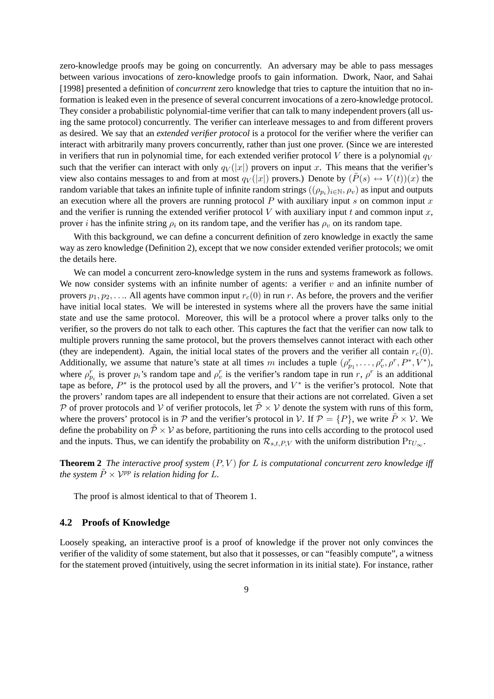zero-knowledge proofs may be going on concurrently. An adversary may be able to pass messages between various invocations of zero-knowledge proofs to gain information. Dwork, Naor, and Sahai [1998] presented a definition of *concurrent* zero knowledge that tries to capture the intuition that no information is leaked even in the presence of several concurrent invocations of a zero-knowledge protocol. They consider a probabilistic polynomial-time verifier that can talk to many independent provers (all using the same protocol) concurrently. The verifier can interleave messages to and from different provers as desired. We say that an *extended verifier protocol* is a protocol for the verifier where the verifier can interact with arbitrarily many provers concurrently, rather than just one prover. (Since we are interested in verifiers that run in polynomial time, for each extended verifier protocol V there is a polynomial  $q_V$ such that the verifier can interact with only  $q_V(|x|)$  provers on input x. This means that the verifier's view also contains messages to and from at most  $q_V(|x|)$  provers.) Denote by  $(\overline{P}(s) \leftrightarrow V(t))(x)$  the random variable that takes an infinite tuple of infinite random strings  $((\rho_{p_i})_{i\in\mathbb{N}}, \rho_v)$  as input and outputs an execution where all the provers are running protocol  $P$  with auxiliary input  $s$  on common input  $x$ and the verifier is running the extended verifier protocol  $V$  with auxiliary input  $t$  and common input  $x$ , prover *i* has the infinite string  $\rho_i$  on its random tape, and the verifier has  $\rho_v$  on its random tape.

With this background, we can define a concurrent definition of zero knowledge in exactly the same way as zero knowledge (Definition 2), except that we now consider extended verifier protocols; we omit the details here.

We can model a concurrent zero-knowledge system in the runs and systems framework as follows. We now consider systems with an infinite number of agents: a verifier  $v$  and an infinite number of provers  $p_1, p_2, \ldots$  All agents have common input  $r_c(0)$  in run r. As before, the provers and the verifier have initial local states. We will be interested in systems where all the provers have the same initial state and use the same protocol. Moreover, this will be a protocol where a prover talks only to the verifier, so the provers do not talk to each other. This captures the fact that the verifier can now talk to multiple provers running the same protocol, but the provers themselves cannot interact with each other (they are independent). Again, the initial local states of the provers and the verifier all contain  $r_c(0)$ . Additionally, we assume that nature's state at all times m includes a tuple  $(\rho_{p_1}^r, \ldots, \rho_v^r, \rho^r, P^*, V^*)$ , where  $\rho_{p_i}^r$  is prover  $p_i$ 's random tape and  $\rho_v^r$  is the verifier's random tape in run r,  $\rho^r$  is an additional tape as before,  $P^*$  is the protocol used by all the provers, and  $V^*$  is the verifier's protocol. Note that the provers' random tapes are all independent to ensure that their actions are not correlated. Given a set P of prover protocols and V of verifier protocols, let  $\mathcal{P} \times \mathcal{V}$  denote the system with runs of this form, where the provers' protocol is in P and the verifier's protocol in V. If  $P = \{P\}$ , we write  $\tilde{P} \times V$ . We define the probability on  $\mathcal{P} \times \mathcal{V}$  as before, partitioning the runs into cells according to the protocol used and the inputs. Thus, we can identify the probability on  $\mathcal{R}_{s,t,P,V}$  with the uniform distribution  $\Pr_{U_{\infty}}$ .

**Theorem 2** *The interactive proof system*  $(P, V)$  *for L is computational concurrent zero knowledge iff the system*  $\tilde{P} \times V^{pp}$  *is relation hiding for L.* 

The proof is almost identical to that of Theorem 1.

## **4.2 Proofs of Knowledge**

Loosely speaking, an interactive proof is a proof of knowledge if the prover not only convinces the verifier of the validity of some statement, but also that it possesses, or can "feasibly compute", a witness for the statement proved (intuitively, using the secret information in its initial state). For instance, rather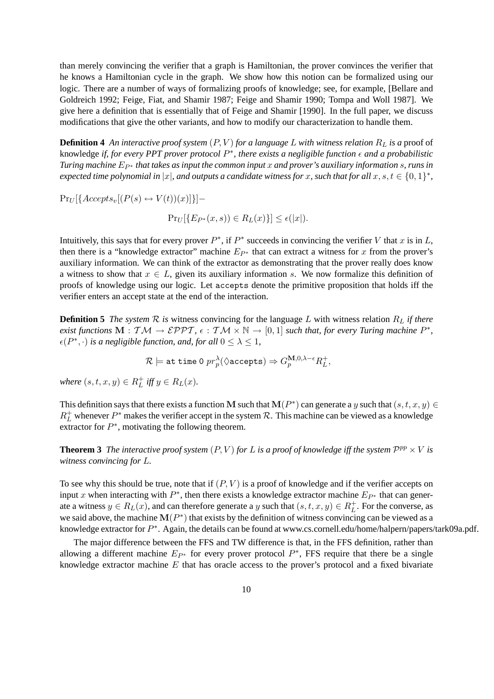than merely convincing the verifier that a graph is Hamiltonian, the prover convinces the verifier that he knows a Hamiltonian cycle in the graph. We show how this notion can be formalized using our logic. There are a number of ways of formalizing proofs of knowledge; see, for example, [Bellare and Goldreich 1992; Feige, Fiat, and Shamir 1987; Feige and Shamir 1990; Tompa and Woll 1987]. We give here a definition that is essentially that of Feige and Shamir [1990]. In the full paper, we discuss modifications that give the other variants, and how to modify our characterization to handle them.

**Definition 4** An interactive proof system  $(P, V)$  for a language L with witness relation  $R_L$  is a proof of knowledge *if, for every PPT prover protocol* P ∗ *, there exists a negligible function and a probabilistic Turing machine* EP<sup>∗</sup> *that takes as input the common input* x *and prover's auxiliary information* s*, runs in expected time polynomial in*  $|x|$ *, and outputs a candidate witness for* x, such that for all  $x, s, t \in \{0, 1\}^*$ *,* 

 $Pr_U[{Accepts_v[(P(s) \leftrightarrow V(t))(x)]}]$ 

 $Pr_U[\{E_{P^*}(x,s)) \in R_L(x)\}] \leq \epsilon(|x|).$ 

Intuitively, this says that for every prover  $P^*$ , if  $P^*$  succeeds in convincing the verifier V that x is in L, then there is a "knowledge extractor" machine  $E_{P^*}$  that can extract a witness for x from the prover's auxiliary information. We can think of the extractor as demonstrating that the prover really does know a witness to show that  $x \in L$ , given its auxiliary information s. We now formalize this definition of proofs of knowledge using our logic. Let accepts denote the primitive proposition that holds iff the verifier enters an accept state at the end of the interaction.

**Definition 5** *The system*  $R$  *is* witness convincing for the language  $L$  with witness relation  $R_L$  *if there exist functions*  $M : T \mathcal{M} \to \mathcal{E} \mathcal{P} \mathcal{P} T$ ,  $\epsilon : T \mathcal{M} \times \mathbb{N} \to [0,1]$  *such that, for every Turing machine*  $P^*$ ,  $\epsilon(P^*, \cdot)$  *is a negligible function, and, for all*  $0 \leq \lambda \leq 1$ *,* 

$$
\mathcal{R}\models \texttt{at time 0}~\textit{pr}_p^{\lambda}(\lozenge \texttt{accepts}) \Rightarrow G_p^{\mathbf{M},0,\lambda-\epsilon} R_L^+,
$$

*where*  $(s, t, x, y) \in R_L^+$  $_{L}^{+}$  *iff*  $y \in R_{L}(x)$ .

This definition says that there exists a function M such that  $M(P^*)$  can generate a y such that  $(s, t, x, y) \in$  $R_L^+$  whenever  $P^*$  makes the verifier accept in the system  $R$ . This machine can be viewed as a knowledge extractor for  $P^*$ , motivating the following theorem.

**Theorem 3** The interactive proof system  $(P, V)$  for L is a proof of knowledge iff the system  $\mathcal{P}^{pp} \times V$  is *witness convincing for* L*.*

To see why this should be true, note that if  $(P, V)$  is a proof of knowledge and if the verifier accepts on input x when interacting with  $P^*$ , then there exists a knowledge extractor machine  $E_{P^*}$  that can generate a witness  $y \in R_L(x)$ , and can therefore generate a y such that  $(s, t, x, y) \in R_L^+$  $L^+$ . For the converse, as we said above, the machine  $\mathbf{M}(P^*)$  that exists by the definition of witness convincing can be viewed as a knowledge extractor for  $P^*$ . Again, the details can be found at www.cs.cornell.edu/home/halpern/papers/tark09a.pdf.

The major difference between the FFS and TW difference is that, in the FFS definition, rather than allowing a different machine  $E_{P^*}$  for every prover protocol  $P^*$ , FFS require that there be a single knowledge extractor machine  $E$  that has oracle access to the prover's protocol and a fixed bivariate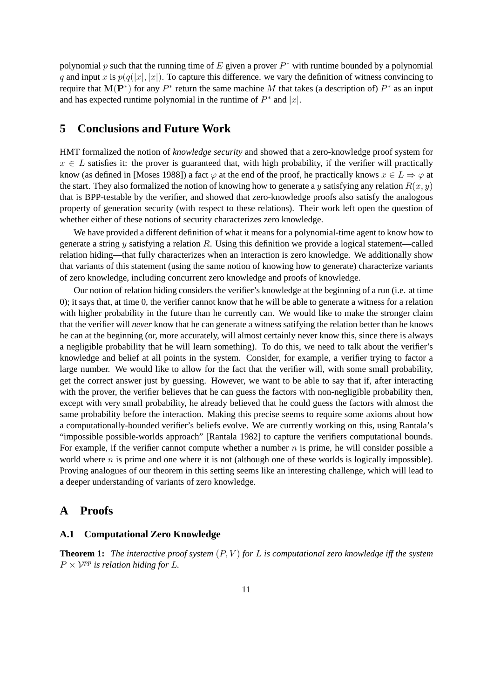polynomial p such that the running time of E given a prover  $P^*$  with runtime bounded by a polynomial q and input x is  $p(q(|x|, |x|))$ . To capture this difference. we vary the definition of witness convincing to require that  $\mathbf{M}(\mathbf{P}^*)$  for any  $P^*$  return the same machine M that takes (a description of)  $P^*$  as an input and has expected runtime polynomial in the runtime of  $P^*$  and |x|.

# **5 Conclusions and Future Work**

HMT formalized the notion of *knowledge security* and showed that a zero-knowledge proof system for  $x \in L$  satisfies it: the prover is guaranteed that, with high probability, if the verifier will practically know (as defined in [Moses 1988]) a fact  $\varphi$  at the end of the proof, he practically knows  $x \in L \Rightarrow \varphi$  at the start. They also formalized the notion of knowing how to generate a y satisfying any relation  $R(x, y)$ that is BPP-testable by the verifier, and showed that zero-knowledge proofs also satisfy the analogous property of generation security (with respect to these relations). Their work left open the question of whether either of these notions of security characterizes zero knowledge.

We have provided a different definition of what it means for a polynomial-time agent to know how to generate a string y satisfying a relation R. Using this definition we provide a logical statement—called relation hiding—that fully characterizes when an interaction is zero knowledge. We additionally show that variants of this statement (using the same notion of knowing how to generate) characterize variants of zero knowledge, including concurrent zero knowledge and proofs of knowledge.

Our notion of relation hiding considers the verifier's knowledge at the beginning of a run (i.e. at time 0); it says that, at time 0, the verifier cannot know that he will be able to generate a witness for a relation with higher probability in the future than he currently can. We would like to make the stronger claim that the verifier will *never* know that he can generate a witness satifying the relation better than he knows he can at the beginning (or, more accurately, will almost certainly never know this, since there is always a negligible probability that he will learn something). To do this, we need to talk about the verifier's knowledge and belief at all points in the system. Consider, for example, a verifier trying to factor a large number. We would like to allow for the fact that the verifier will, with some small probability, get the correct answer just by guessing. However, we want to be able to say that if, after interacting with the prover, the verifier believes that he can guess the factors with non-negligible probability then, except with very small probability, he already believed that he could guess the factors with almost the same probability before the interaction. Making this precise seems to require some axioms about how a computationally-bounded verifier's beliefs evolve. We are currently working on this, using Rantala's "impossible possible-worlds approach" [Rantala 1982] to capture the verifiers computational bounds. For example, if the verifier cannot compute whether a number  $n$  is prime, he will consider possible a world where  $n$  is prime and one where it is not (although one of these worlds is logically impossible). Proving analogues of our theorem in this setting seems like an interesting challenge, which will lead to a deeper understanding of variants of zero knowledge.

## **A Proofs**

## **A.1 Computational Zero Knowledge**

**Theorem 1:** *The interactive proof system* (P, V ) *for* L *is computational zero knowledge iff the system*  $P \times V^{pp}$  *is relation hiding for L.*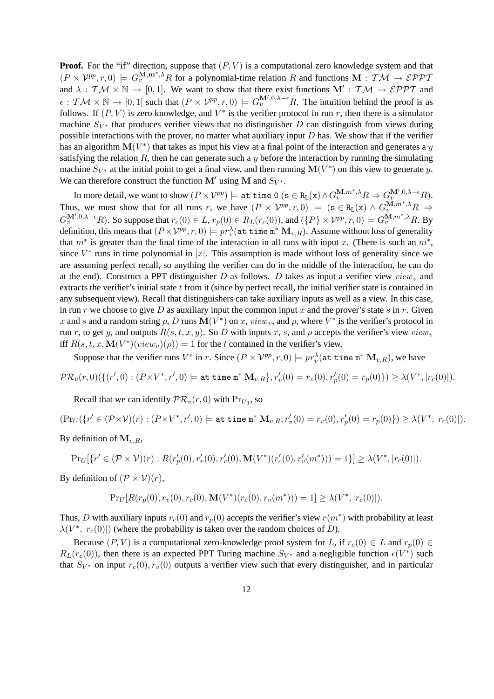**Proof.** For the "if" direction, suppose that  $(P, V)$  is a computational zero knowledge system and that  $(P \times V^{pp}, r, 0) \models G_v^{\mathbf{M}, \mathbf{m}^*, \lambda} R$  for a polynomial-time relation R and functions  $\mathbf{M} : \mathcal{TM} \to \mathcal{EPPY}$ and  $\lambda : \mathcal{TM} \times \mathbb{N} \to [0,1]$ . We want to show that there exist functions  $\mathbf{M}' : \mathcal{TM} \to \mathcal{EPPT}$  and  $\epsilon$ :  $\mathcal{TM} \times \mathbb{N} \to [0,1]$  such that  $(P \times \mathcal{V}^{pp}, r, 0) \models G_v^{\mathbf{M}',0,\lambda-\epsilon}R$ . The intuition behind the proof is as follows. If  $(P, V)$  is zero knowledge, and  $V^*$  is the verifier protocol in run r, then there is a simulator machine  $S_{V^*}$  that produces verifier views that no distinguisher D can distinguish from views during possible interactions with the prover, no matter what auxiliary input  $D$  has. We show that if the verifier has an algorithm  $M(V^*)$  that takes as input his view at a final point of the interaction and generates a y satisfying the relation  $R$ , then he can generate such a y before the interaction by running the simulating machine  $S_{V^*}$  at the initial point to get a final view, and then running  $\mathbf{M}(V^*)$  on this view to generate y. We can therefore construct the function  $\mathbf{M}'$  using  $\mathbf{M}$  and  $S_{V^*}$ .

In more detail, we want to show  $(P\times {\cal V}^{pp})\models$  at time 0  $({\bf s}\in {\mathtt{R}}_{\mathrm{L}}({\bf x})\wedge G_{v}^{{\bf M},m^*,\lambda}R\Rightarrow G_{v}^{{\bf M}',0,\lambda-\epsilon}R).$ Thus, we must show that for all runs r, we have  $(P \times \mathcal{V}^{pp}, r, 0) \models (\mathbf{s} \in R_L(\mathbf{x}) \land G_v^{\mathbf{M}, m^*, \lambda} R \Rightarrow$  $G_v^{\mathbf{M}',0,\lambda-\epsilon}R$ ). So suppose that  $r_c(0) \in L$ ,  $r_p(0) \in R_L(r_c(0))$ , and  $(\{P\} \times \mathcal{V}^{pp}, r, 0) \models G_v^{\mathbf{M},m^*,\lambda}R$ . By definition, this means that  $(P\times\mathcal V^{pp},r,0)\models pr_v^{\lambda}(\texttt{at time m* }{\bf M}_{v,R}).$  Assume without loss of generality that  $m^*$  is greater than the final time of the interaction in all runs with input x. (There is such an  $m^*$ , since  $V^*$  runs in time polynomial in |x|. This assumption is made without loss of generality since we are assuming perfect recall, so anything the verifier can do in the middle of the interaction, he can do at the end). Construct a PPT distinguisher D as follows. D takes as input a verifier view view, and extracts the verifier's initial state  $t$  from it (since by perfect recall, the initial verifier state is contained in any subsequent view). Recall that distinguishers can take auxiliary inputs as well as a view. In this case, in run r we choose to give D as auxiliary input the common input x and the prover's state s in r. Given x and s and a random string  $\rho$ , D runs  $\mathbf{M}(V^*)$  on x, view<sub>v</sub>, and  $\rho$ , where  $V^*$  is the verifier's protocol in run r, to get y, and outputs  $R(s, t, x, y)$ . So D with inputs x, s, and  $\rho$  accepts the verifier's view view iff  $R(s,t,x,\mathbf{M}(V^*)(view_v)(\rho)) = 1$  for the t contained in the verifier's view.

Suppose that the verifier runs  $V^*$  in r. Since  $(P \times V^{pp}, r, 0) \models pr_v^{\lambda}(\texttt{at time m* } \mathbf{M}_{v,R}),$  we have

 $\mathcal{PR}_v(r,0)(\{(r',0): (P\times V^*,r',0)\models \texttt{at time m* } \mathbf{M}_{v,R}\}, r'_v(0)=r_v(0), r'_p(0)=r_p(0)\}) \geq \lambda(V^*,|r_c(0)|).$ 

Recall that we can identify  $PR_v(r, 0)$  with  $Pr_{U_3}$ , so

 $(\Pr_U(\{r' \in (\mathcal{P} \times \mathcal{V})(r) : (P \times V^*, r', 0) \models \texttt{at time m* } \mathbf{M}_{v,R}, r'_v(0) = r_v(0), r'_p(0) = r_p(0)\}) \geq \lambda(V^*, |r_c(0)|).$ 

By definition of  $M_{v,R}$ ,

$$
\Pr_U[\{r' \in (\mathcal{P} \times \mathcal{V})(r) : R(r'_p(0), r'_v(0), r'_c(0), \mathbf{M}(V^*)(r'_c(0), r'_v(m^*))) = 1\}] \geq \lambda(V^*, |r_c(0)|).
$$

By definition of  $(\mathcal{P} \times \mathcal{V})(r)$ ,

$$
Pr_U[R(r_p(0), r_v(0), r_c(0), \mathbf{M}(V^*)(r_c(0), r_v(m^*))) = 1] \ge \lambda(V^*, |r_c(0)|).
$$

Thus, D with auxiliary inputs  $r_c(0)$  and  $r_p(0)$  accepts the verifier's view  $r(m^*)$  with probability at least  $\lambda(V^*, |r_c(0)|)$  (where the probability is taken over the random choices of D).

Because  $(P, V)$  is a computational zero-knowledge proof system for L, if  $r_c(0) \in L$  and  $r_p(0) \in L$  $R_L(r_c(0))$ , then there is an expected PPT Turing machine  $S_{V^*}$  and a negligible function  $\epsilon(V^*)$  such that  $S_{V^*}$  on input  $r_c(0), r_v(0)$  outputs a verifier view such that every distinguisher, and in particular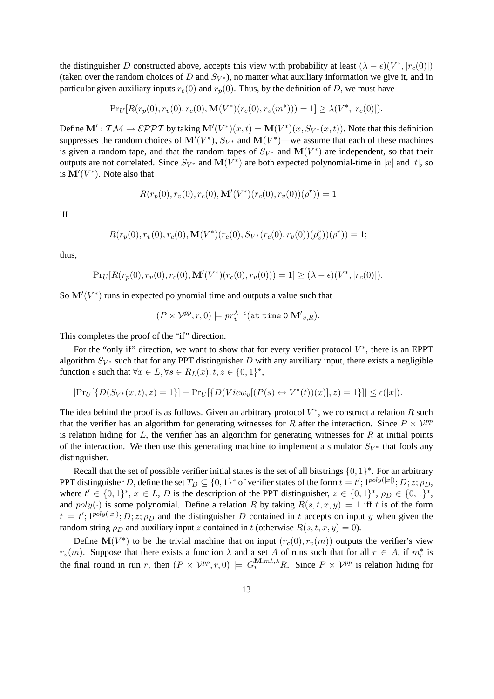the distinguisher D constructed above, accepts this view with probability at least  $(\lambda - \epsilon)(V^*, |r_c(0)|)$ (taken over the random choices of D and  $S_{V*}$ ), no matter what auxiliary information we give it, and in particular given auxiliary inputs  $r_c(0)$  and  $r_p(0)$ . Thus, by the definition of D, we must have

$$
Pr_U[R(r_p(0), r_v(0), r_c(0), \mathbf{M}(V^*)(r_c(0), r_v(m^*))) = 1] \ge \lambda(V^*, |r_c(0)|).
$$

Define  $M': \mathcal{TM} \to \mathcal{EPPT}$  by taking  $M'(V^*)(x,t) = M(V^*)(x, S_{V^*}(x,t))$ . Note that this definition suppresses the random choices of  $M'(V^*)$ ,  $S_{V^*}$  and  $M(V^*)$ —we assume that each of these machines is given a random tape, and that the random tapes of  $S_{V^*}$  and  $\mathbf{M}(V^*)$  are independent, so that their outputs are not correlated. Since  $S_{V^*}$  and  $\mathbf{M}(V^*)$  are both expected polynomial-time in |x| and |t|, so is  $M'(V^*)$ . Note also that

$$
R(r_p(0), r_v(0), r_c(0), \mathbf{M}'(V^*)(r_c(0), r_v(0))(\rho^r)) = 1
$$

iff

$$
R(r_p(0), r_v(0), r_c(0), \mathbf{M}(V^*)(r_c(0), S_{V^*}(r_c(0), r_v(0))(\rho_v^r))(\rho^r)) = 1;
$$

thus,

$$
Pr_U[R(r_p(0), r_v(0), r_c(0), \mathbf{M}'(V^*)(r_c(0), r_v(0))) = 1] \ge (\lambda - \epsilon)(V^*, |r_c(0)|).
$$

So  $\mathbf{M}'(V^*)$  runs in expected polynomial time and outputs a value such that

$$
(P \times \mathcal{V}^{pp}, r, 0) \models pr_v^{\lambda - \epsilon}(\text{at time 0 } \mathbf{M'}_{v,R}).
$$

This completes the proof of the "if" direction.

For the "only if" direction, we want to show that for every verifier protocol  $V^*$ , there is an EPPT algorithm  $S_{V^*}$  such that for any PPT distinguisher D with any auxiliary input, there exists a negligible function  $\epsilon$  such that  $\forall x \in L, \forall s \in R_L(x), t, z \in \{0, 1\}^*,$ 

$$
|\Pr_U[\{D(S_{V^*}(x,t),z)=1\}]-\Pr_U[\{D(View_v[(P(s) \leftrightarrow V^*(t))(x)],z)=1\}]| \leq \epsilon(|x|).
$$

The idea behind the proof is as follows. Given an arbitrary protocol  $V^*$ , we construct a relation R such that the verifier has an algorithm for generating witnesses for R after the interaction. Since  $P \times \mathcal{V}^{pp}$ is relation hiding for  $L$ , the verifier has an algorithm for generating witnesses for  $R$  at initial points of the interaction. We then use this generating machine to implement a simulator  $S_{V^*}$  that fools any distinguisher.

Recall that the set of possible verifier initial states is the set of all bitstrings  $\{0, 1\}^*$ . For an arbitrary PPT distinguisher D, define the set  $T_D\subseteq \{0,1\}^*$  of verifier states of the form  $t=t';1^{poly(|x|)};D;z;\rho_D,$ where  $t' \in \{0,1\}^*, x \in L, D$  is the description of the PPT distinguisher,  $z \in \{0,1\}^*, \rho_D \in \{0,1\}^*,$ and  $poly(\cdot)$  is some polynomial. Define a relation R by taking  $R(s, t, x, y) = 1$  iff t is of the form  $t = t'$ ;  $1^{poly(|x|)}$ ;  $D$ ;  $z$ ;  $\rho_D$  and the distinguisher D contained in t accepts on input y when given the random string  $\rho_D$  and auxiliary input z contained in t (otherwise  $R(s, t, x, y) = 0$ ).

Define  $\mathbf{M}(V^*)$  to be the trivial machine that on input  $(r_c(0), r_v(m))$  outputs the verifier's view  $r_v(m)$ . Suppose that there exists a function  $\lambda$  and a set A of runs such that for all  $r \in A$ , if  $m_r^*$  is the final round in run r, then  $(P \times V^{pp}, r, 0) \models G_v^{\mathbf{M}, m_r^*, \lambda}R$ . Since  $P \times V^{pp}$  is relation hiding for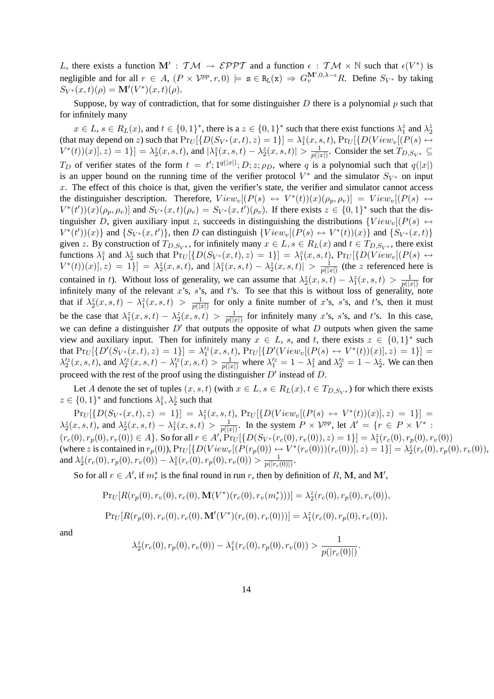L, there exists a function  $M' : T \mathcal{M} \to \mathcal{EPPT}$  and a function  $\epsilon : T \mathcal{M} \times \mathbb{N}$  such that  $\epsilon(V^*)$  is negligible and for all  $r \in A$ ,  $(P \times V^{pp}, r, 0) \models s \in R_L(x) \Rightarrow G_{v}^{M',0,\lambda-\epsilon}R$ . Define  $S_{V^*}$  by taking  $S_{V^*}(x,t)(\rho) = \mathbf{M}'(V^*)(x,t)(\rho).$ 

Suppose, by way of contradiction, that for some distinguisher  $D$  there is a polynomial  $p$  such that for infinitely many

 $x \in L$ ,  $s \in R_L(x)$ , and  $t \in \{0, 1\}^*$ , there is a  $z \in \{0, 1\}^*$  such that there exist functions  $\lambda_1^z$  and  $\lambda_2^z$ (that may depend on z) such that  $Pr_U[\{D(S_{V^*}(x,t), z) = 1\}] = \lambda_1^z(x, s, t)$ ,  $Pr_U[\{D(View_v[(P(s) \leftrightarrow w(t), z) = 1\}]] = \lambda_2^z(x, s, t)$  $V^*(t)(x)$ ,  $z) = 1$ } =  $\lambda_2^z(x, s, t)$ , and  $|\lambda_1^z(x, s, t) - \lambda_2^z(x, s, t)| > \frac{1}{p(|z|)}$  $\frac{1}{p(|x|)}$ . Consider the set  $T_{D,S_{V^*}} \subseteq$  $T_D$  of verifier states of the form  $t = t'$ ;  $1^{q(|x|)}$ ;  $D$ ;  $z$ ;  $\rho_D$ , where q is a polynomial such that  $q(|x|)$ is an upper bound on the running time of the verifier protocol  $V^*$  and the simulator  $S_{V^*}$  on input x. The effect of this choice is that, given the verifier's state, the verifier and simulator cannot access the distinguisher description. Therefore,  $View_v[(P(s) \leftrightarrow V^*(t))(x)(\rho_p, \rho_v)] = View_v[(P(s) \leftrightarrow V^*(t))(x)(\rho_p, \rho_v)]$  $V^*(t')(x)(\rho_p, \rho_v)$  and  $S_{V^*}(x,t)(\rho_v) = S_{V^*}(x,t')(\rho_v)$ . If there exists  $z \in \{0,1\}^*$  such that the distinguisher D, given auxiliary input z, succeeds in distinguishing the distributions  ${View_v[(P(s) \leftrightarrow$  $V^*(t')(x)$  and  $\{S_{V^*}(x,t')\}$ , then D can distinguish  $\{View_v[(P(s) \leftrightarrow V^*(t))(x)\}$  and  $\{S_{V^*}(x,t)\}$ given z. By construction of  $T_{D,S_{V^*}}$ , for infinitely many  $x \in L$ ,  $s \in R_L(x)$  and  $t \in T_{D,S_{V^*}}$ , there exist functions  $\lambda_1^z$  and  $\lambda_2^z$  such that  $Pr_U[\{D(S_{V^*}(x,t), z) = 1\}] = \lambda_1^z(x, s, t)$ ,  $Pr_U[\{D(View_v[(P(s) \leftrightarrow w(t), z) = 1\}]] = \lambda_2^z$  $V^*(t)(x)$ ,  $z$ ) = 1}] =  $\lambda_2^z(x, s, t)$ , and  $|\lambda_1^z(x, s, t) - \lambda_2^z(x, s, t)| > \frac{1}{p(|z|)}$  $\frac{1}{p(|x|)}$  (the z referenced here is contained in t). Without loss of generality, we can assume that  $\lambda_2^z(x, s, t) - \lambda_1^z(x, s, t) > \frac{1}{p(|s|)}$  $\frac{1}{p(|x|)}$  for infinitely many of the relevant  $x$ 's,  $s$ 's, and  $t$ 's. To see that this is without loss of generality, note that if  $\lambda_2^z(x, s, t) - \lambda_1^z(x, s, t) > \frac{1}{p(|z|)}$  $\frac{1}{p(|x|)}$  for only a finite number of x's, s's, and t's, then it must be the case that  $\lambda_1^z(x, s, t) - \lambda_2^z(x, s, t) > \frac{1}{p(|s|)}$  $\frac{1}{p(|x|)}$  for infinitely many x's, s's, and t's. In this case, we can define a distinguisher  $D'$  that outputs the opposite of what D outputs when given the same view and auxiliary input. Then for infinitely many  $x \in L$ , s, and t, there exists  $z \in \{0,1\}^*$  such that  $Pr_U[\{D'(S_{V^*}(x,t),z)=1\}] = \lambda_1^{iz}(x,s,t), Pr_U[\{D'(View_v[(P(s) \leftrightarrow V^*(t))(x)],z)=1\}]$  $\lambda_2^{iz}(x, s, t)$ , and  $\lambda_2^{iz}(x, s, t) - \lambda_1^{iz}(x, s, t) > \frac{1}{p(|x|)}$  where  $\lambda_1^{iz} = 1 - \lambda_1^{z}$  and  $\lambda_2^{iz} = 1 - \lambda_2^{z}$ . We can then proceed with the rest of the proof using the distinguisher  $D'$  instead of  $D$ .

Let A denote the set of tuples  $(x, s, t)$  (with  $x \in L$ ,  $s \in R_L(x)$ ,  $t \in T_{D,S_{V^*}}$ ) for which there exists  $z \in \{0,1\}^*$  and functions  $\lambda_1^z, \lambda_2^z$  such that

 $Pr_U[\{D(S_{V^*}(x,t), z) = 1\}] = \lambda_1^z(x, s, t), Pr_U[\{D(View_v[(P(s) \leftrightarrow V^*(t))(x)], z) = 1\}] =$  $\lambda_2^z(x, s, t)$ , and  $\lambda_2^z(x, s, t) - \lambda_1^z(x, s, t) > \frac{1}{p(|x|)}$  $\frac{1}{p(|x|)}$ . In the system  $P \times \mathcal{V}^{pp}$ , let  $A' = \{r \in P \times V^* :$  $(r_c(0), r_p(0), r_v(0)) \in A$ . So for all  $r \in A'$ ,  $\Pr_U[\{D(S_{V^*}(r_c(0), r_v(0)), z) = 1\}] = \lambda_1^z(r_c(0), r_p(0), r_v(0))$ (where z is contained in  $r_p(0)$ ),  $Pr_U[\{D(View_v[(P(r_p(0)) \leftrightarrow V^*(r_v(0)))(r_c(0))]$ ,  $z) = 1\}] = \lambda_2^z(r_c(0), r_p(0), r_v(0))$ , and  $\lambda_2^z(r_c(0), r_p(0), r_v(0)) - \lambda_1^z(r_c(0), r_p(0), r_v(0)) > \frac{1}{p(r_c)}$  $\frac{1}{p(|r_c(0)|)}$ .

So for all  $r \in A'$ , if  $m_r^*$  is the final round in run r, then by definition of R, M, and M',

$$
Pr_U[R(r_p(0), r_v(0), r_c(0), \mathbf{M}(V^*)(r_c(0), r_v(m_r^*)))] = \lambda_2^z(r_c(0), r_p(0), r_v(0)),
$$
  
\n
$$
Pr_U[R(r_p(0), r_v(0), r_c(0), \mathbf{M}'(V^*)(r_c(0), r_v(0)))] = \lambda_1^z(r_c(0), r_p(0), r_v(0)),
$$

and

$$
\lambda_2^z(r_c(0), r_p(0), r_v(0)) - \lambda_1^z(r_c(0), r_p(0), r_v(0)) > \frac{1}{p(|r_c(0)|)}.
$$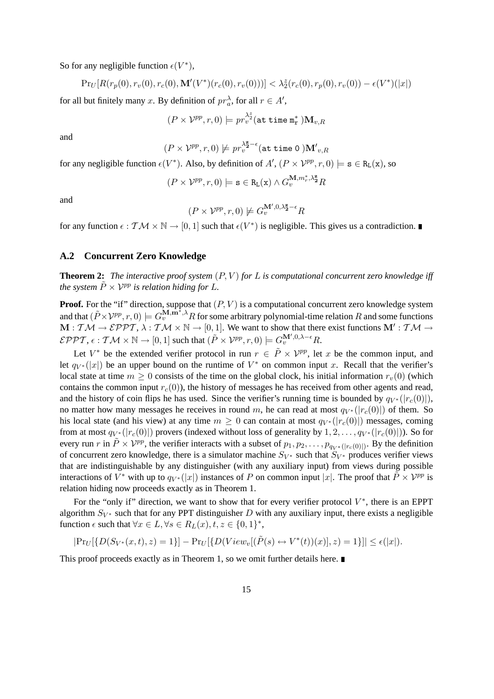So for any negligible function  $\epsilon(V^*),$ 

$$
\Pr_{U}[R(r_p(0), r_v(0), r_c(0), \mathbf{M}'(V^*)(r_c(0), r_v(0)))] < \lambda_2^z(r_c(0), r_p(0), r_v(0)) - \epsilon(V^*)(|x|)
$$

for all but finitely many x. By definition of  $pr_a^{\lambda}$ , for all  $r \in A'$ ,

$$
(P \times \mathcal{V}^{pp}, r, 0) \models \mathit{pr}_v^{\lambda_2^z}(\texttt{at time m}^*_\mathbf{r} ) \mathbf{M}_{v, R}
$$

and

$$
(P \times \mathcal{V}^{pp}, r, 0) \not\models pr_v^{\lambda_2^{\mathbf{Z} - \epsilon}}(\texttt{at time 0 }) \mathbf{M'}_{v, R}
$$

for any negligible function  $\epsilon(V^*)$ . Also, by definition of  $A'$ ,  $(P \times V^{pp}, r, 0) \models s \in R_L(x)$ , so

$$
(P \times \mathcal{V}^{pp}, r, 0) \models \mathbf{s} \in \mathbf{R}_{\mathrm{L}}(\mathbf{x}) \wedge G_v^{\mathbf{M}, m_r^*, \lambda^{\mathbf{z}}}\mathbf{R}
$$

and

$$
(P \times \mathcal{V}^{pp}, r, 0) \not\models G_v^{\mathbf{M}', 0, \lambda_2^{\mathbf{z}} - \epsilon} R
$$

for any function  $\epsilon : \mathcal{TM} \times \mathbb{N} \to [0,1]$  such that  $\epsilon(V^*)$  is negligible. This gives us a contradiction.

#### **A.2 Concurrent Zero Knowledge**

**Theorem 2:** *The interactive proof system* (P, V ) *for* L *is computational concurrent zero knowledge iff the system*  $\tilde{P} \times V^{pp}$  *is relation hiding for* L.

**Proof.** For the "if" direction, suppose that  $(P, V)$  is a computational concurrent zero knowledge system and that  $(\tilde{P} \times \mathcal{V}^{pp}, r, 0) \models G_v^{\mathbf{M}, \mathbf{m}^*, \lambda} R$  for some arbitrary polynomial-time relation R and some functions  $\mathbf{M}: \mathcal{TM} \to \mathcal{EPPT}, \lambda: \mathcal{TM} \times \mathbb{N} \to [0,1].$  We want to show that there exist functions  $\mathbf{M}': \mathcal{TM} \to$  $\mathcal{EPPT}, \epsilon: \mathcal{TM} \times \mathbb{N} \to [0,1]$  such that  $(\tilde{P} \times \mathcal{V}^{pp}, r, 0) \models G_v^{\mathbf{M}', 0, \lambda-\epsilon} R$ .

Let  $V^*$  be the extended verifier protocol in run  $r \in \tilde{P} \times \mathcal{V}^{pp}$ , let x be the common input, and let  $q_{V^*}(|x|)$  be an upper bound on the runtime of  $V^*$  on common input x. Recall that the verifier's local state at time  $m \geq 0$  consists of the time on the global clock, his initial information  $r_v(0)$  (which contains the common input  $r_c(0)$ , the history of messages he has received from other agents and read, and the history of coin flips he has used. Since the verifier's running time is bounded by  $q_{V^*}(|r_c(0)|)$ , no matter how many messages he receives in round m, he can read at most  $q_{V^*}(|r_c(0)|)$  of them. So his local state (and his view) at any time  $m \geq 0$  can contain at most  $q_{V^*}(|r_c(0)|)$  messages, coming from at most  $q_{V^*}(|r_c(0)|)$  provers (indexed without loss of generality by  $1, 2, \ldots, q_{V^*}(|r_c(0)|)$ ). So for every run r in  $\tilde{P} \times V^{pp}$ , the verifier interacts with a subset of  $p_1, p_2, \ldots, p_{q_{V^*}(|r_c(0)|)}$ . By the definition of concurrent zero knowledge, there is a simulator machine  $S_{V^*}$  such that  $S_{V^*}$  produces verifier views that are indistinguishable by any distinguisher (with any auxiliary input) from views during possible interactions of  $V^*$  with up to  $q_{V^*}(|x|)$  instances of P on common input |x|. The proof that  $\tilde{P} \times V^{pp}$  is relation hiding now proceeds exactly as in Theorem 1.

For the "only if" direction, we want to show that for every verifier protocol  $V^*$ , there is an EPPT algorithm  $S_{V^*}$  such that for any PPT distinguisher D with any auxiliary input, there exists a negligible function  $\epsilon$  such that  $\forall x \in L, \forall s \in R_L(x), t, z \in \{0, 1\}^*,$ 

$$
|\Pr_U[\{D(S_{V^*}(x,t),z)=1\}]-\Pr_U[\{D(View_v[(\tilde{P}(s) \leftrightarrow V^*(t))(x)],z)=1\}]| \leq \epsilon(|x|).
$$

This proof proceeds exactly as in Theorem 1, so we omit further details here. ■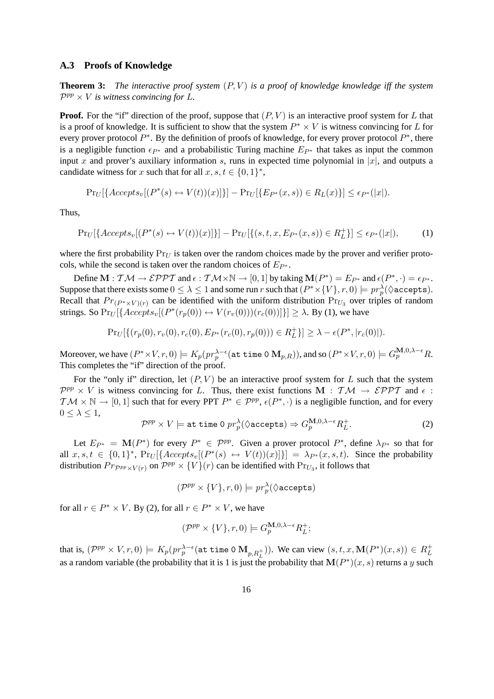#### **A.3 Proofs of Knowledge**

**Theorem 3:** *The interactive proof system* (P, V ) *is a proof of knowledge knowledge iff the system*  $\mathcal{P}^{pp} \times V$  *is witness convincing for L.* 

**Proof.** For the "if" direction of the proof, suppose that  $(P, V)$  is an interactive proof system for L that is a proof of knowledge. It is sufficient to show that the system  $P^* \times V$  is witness convincing for L for every prover protocol  $P^*$ . By the definition of proofs of knowledge, for every prover protocol  $P^*$ , there is a negligible function  $\epsilon_{P^*}$  and a probabilistic Turing machine  $E_{P^*}$  that takes as input the common input x and prover's auxiliary information s, runs in expected time polynomial in  $|x|$ , and outputs a candidate witness for x such that for all  $x, s, t \in \{0, 1\}^*$ ,

$$
Pr_U[{Accepts_v[(P^*(s) \leftrightarrow V(t))(x)]}] - Pr_U[{E_{P^*}(x,s)) \in R_L(x)}] \le \epsilon_{P^*}(|x|).
$$

Thus,

$$
\Pr_{U}[\{Access_v[(P^*(s) \leftrightarrow V(t))(x)]\}] - \Pr_{U}[\{(s, t, x, E_{P^*}(x, s)) \in R_L^+\}] \le \epsilon_{P^*}(|x|),
$$
 (1)

where the first probability  $Pr_U$  is taken over the random choices made by the prover and verifier protocols, while the second is taken over the random choices of  $E_{P^*}$ .

Define  $\mathbf{M}: \mathcal{TM} \to \mathcal{EPPT}$  and  $\epsilon: \mathcal{TM} \times \mathbb{N} \to [0,1]$  by taking  $\mathbf{M}(P^*) = E_{P^*}$  and  $\epsilon(P^*, \cdot) = \epsilon_{P^*}.$ Suppose that there exists some  $0\leq\lambda\leq1$  and some run  $r$  such that  $(P^*\times\{V\},r,0)\models pr_p^\lambda(\lozenge \texttt{accepts}).$ Recall that  $Pr_{(P^* \times V)(r)}$  can be identified with the uniform distribution  $Pr_{U_3}$  over triples of random strings. So  $\Pr_{U}[\{Accepts_v[(P^*(r_p(0)) \leftrightarrow V(r_v(0)))(r_c(0))]\}] \geq \lambda$ . By (1), we have

$$
\Pr_U[\{(r_p(0), r_v(0), r_c(0), E_{P^*}(r_c(0), r_p(0))) \in R_L^+\}] \geq \lambda - \epsilon(P^*, |r_c(0)|).
$$

Moreover, we have  $(P^* \times V,r,0) \models K_p(p r_p^{\lambda-\epsilon}(\texttt{at time 0 } \mathbf{M}_{p,R})),$  and so  $(P^* \times V,r,0) \models G_{p}^{\mathbf{M},0,\lambda-\epsilon} R$ . This completes the "if" direction of the proof.

For the "only if" direction, let  $(P, V)$  be an interactive proof system for L such that the system  $\mathcal{P}^{pp} \times V$  is witness convincing for L. Thus, there exist functions M :  $\mathcal{TM} \to \mathcal{EPPT}$  and  $\epsilon$ :  $T M \times \mathbb{N} \to [0, 1]$  such that for every PPT  $P^* \in \mathcal{P}^{pp}, \epsilon(P^*, \cdot)$  is a negligible function, and for every  $0 \leq \lambda \leq 1$ ,

$$
\mathcal{P}^{pp} \times V \models \text{at time 0 } pr_p^{\lambda}(\Diamond \text{accepts}) \Rightarrow G_p^{\mathbf{M},0,\lambda-\epsilon} R_L^+.
$$
 (2)

Let  $E_{P^*} = \mathbf{M}(P^*)$  for every  $P^* \in \mathcal{P}^{pp}$ . Given a prover protocol  $P^*$ , define  $\lambda_{P^*}$  so that for all  $x, s, t \in \{0, 1\}^*$ ,  $Pr_U[\{Accepts_v[(P^*(s) \leftrightarrow V(t))(x)]\}] = \lambda_{P^*}(x, s, t)$ . Since the probability distribution  $Pr_{\mathcal{P}^{pp} \times V(r)}$  on  $\mathcal{P}^{pp} \times \{V\}(r)$  can be identified with  $Pr_{U_3}$ , it follows that

$$
(\mathcal{P}^{pp} \times \{V\}, r, 0) \models \mathit{pr}_p^{\lambda}(\Diamond \texttt{accepts})
$$

for all  $r \in P^* \times V$ . By (2), for all  $r \in P^* \times V$ , we have

$$
(\mathcal{P}^{pp} \times \{V\}, r, 0) \models G^{ \mathbf{M}, 0, \lambda-\epsilon}_p R^+_L;
$$

that is,  $(\mathcal{P}^{pp} \times V, r, 0) \models K_p(pr_p^{\lambda - \epsilon}(\texttt{at time 0 } \mathbf{M}_{p, R_f^+}))$ . We can view  $(s, t, x, \mathbf{M}(P^*)(x, s)) \in R_L^+$ as a random variable (the probability that it is 1 is just the probability that  $\mathbf{M}(P^*)(x, s)$  returns a y such L